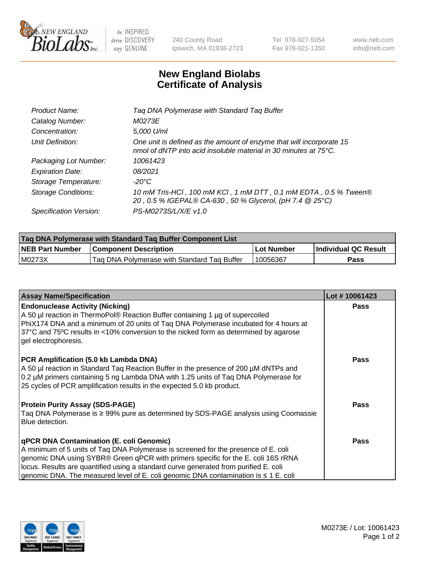

 $be$  INSPIRED drive DISCOVERY stay GENUINE

240 County Road Ipswich, MA 01938-2723 Tel 978-927-5054 Fax 978-921-1350 www.neb.com info@neb.com

## **New England Biolabs Certificate of Analysis**

| Product Name:              | Tag DNA Polymerase with Standard Tag Buffer                                                                                                        |
|----------------------------|----------------------------------------------------------------------------------------------------------------------------------------------------|
| Catalog Number:            | M0273E                                                                                                                                             |
| Concentration:             | 5,000 U/ml                                                                                                                                         |
| Unit Definition:           | One unit is defined as the amount of enzyme that will incorporate 15<br>nmol of dNTP into acid insoluble material in 30 minutes at $75^{\circ}$ C. |
| Packaging Lot Number:      | 10061423                                                                                                                                           |
| <b>Expiration Date:</b>    | 08/2021                                                                                                                                            |
| Storage Temperature:       | $-20^{\circ}$ C                                                                                                                                    |
| <b>Storage Conditions:</b> | 10 mM Tris-HCl, 100 mM KCl, 1 mM DTT, 0.1 mM EDTA, 0.5 % Tween®<br>20, 0.5 % IGEPAL® CA-630, 50 % Glycerol, (pH 7.4 @ 25°C)                        |
| Specification Version:     | PS-M0273S/L/X/E v1.0                                                                                                                               |

| Tag DNA Polymerase with Standard Tag Buffer Component List |                                             |              |                      |  |
|------------------------------------------------------------|---------------------------------------------|--------------|----------------------|--|
| <b>NEB Part Number</b>                                     | <b>Component Description</b>                | l Lot Number | Individual QC Result |  |
| M0273X                                                     | Tag DNA Polymerase with Standard Tag Buffer | 10056367     | Pass                 |  |

| <b>Assay Name/Specification</b>                                                                                                                                                                                                                                                                                                                                                                         | Lot #10061423 |
|---------------------------------------------------------------------------------------------------------------------------------------------------------------------------------------------------------------------------------------------------------------------------------------------------------------------------------------------------------------------------------------------------------|---------------|
| <b>Endonuclease Activity (Nicking)</b><br>A 50 µl reaction in ThermoPol® Reaction Buffer containing 1 µg of supercoiled<br>PhiX174 DNA and a minimum of 20 units of Tag DNA Polymerase incubated for 4 hours at<br>37°C and 75°C results in <10% conversion to the nicked form as determined by agarose<br>gel electrophoresis.                                                                         | <b>Pass</b>   |
| PCR Amplification (5.0 kb Lambda DNA)<br>A 50 µl reaction in Standard Taq Reaction Buffer in the presence of 200 µM dNTPs and<br>0.2 µM primers containing 5 ng Lambda DNA with 1.25 units of Tag DNA Polymerase for<br>25 cycles of PCR amplification results in the expected 5.0 kb product.                                                                                                          | <b>Pass</b>   |
| <b>Protein Purity Assay (SDS-PAGE)</b><br>Taq DNA Polymerase is ≥ 99% pure as determined by SDS-PAGE analysis using Coomassie<br>Blue detection.                                                                                                                                                                                                                                                        | <b>Pass</b>   |
| qPCR DNA Contamination (E. coli Genomic)<br>A minimum of 5 units of Taq DNA Polymerase is screened for the presence of E. coli<br>genomic DNA using SYBR® Green qPCR with primers specific for the E. coli 16S rRNA<br>locus. Results are quantified using a standard curve generated from purified E. coli<br>genomic DNA. The measured level of E. coli genomic DNA contamination is $\leq 1$ E. coli | <b>Pass</b>   |